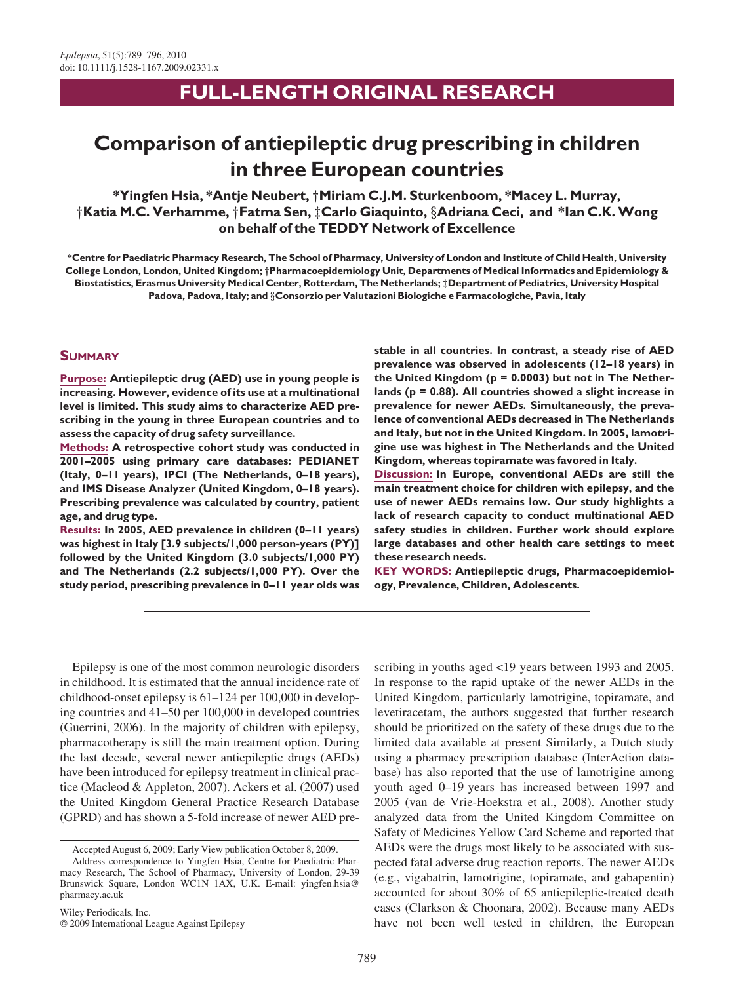# Comparison of antiepileptic drug prescribing in children in three European countries

\*Yingfen Hsia, \*Antje Neubert, †Miriam C.J.M. Sturkenboom, \*Macey L. Murray, tKatia M.C. Verhamme, tFatma Sen, #Carlo Giaquinto, §Adriana Ceci, and \*Ian C.K. Wong on behalf of the TEDDY Network of Excellence

\*Centre for Paediatric Pharmacy Research, The School of Pharmacy, University of London and Institute of Child Health, University College London, London, United Kingdom; †Pharmacoepidemiology Unit, Departments of Medical Informatics and Epidemiology & Biostatistics, Erasmus University Medical Center, Rotterdam, The Netherlands; #Department of Pediatrics, University Hospital Padova, Padova, Italy; and §Consorzio per Valutazioni Biologiche e Farmacologiche, Pavia, Italy

# **SUMMARY**

Purpose: Antiepileptic drug (AED) use in young people is increasing. However, evidence of its use at a multinational level is limited. This study aims to characterize AED prescribing in the young in three European countries and to assess the capacity of drug safety surveillance.

Methods: A retrospective cohort study was conducted in 2001–2005 using primary care databases: PEDIANET (Italy, 0–11 years), IPCI (The Netherlands, 0–18 years), and IMS Disease Analyzer (United Kingdom, 0–18 years). Prescribing prevalence was calculated by country, patient age, and drug type.

Results: In 2005, AED prevalence in children (0–11 years) was highest in Italy [3.9 subjects/1,000 person-years (PY)] followed by the United Kingdom (3.0 subjects/1,000 PY) and The Netherlands (2.2 subjects/1,000 PY). Over the study period, prescribing prevalence in 0–11 year olds was stable in all countries. In contrast, a steady rise of AED prevalence was observed in adolescents (12–18 years) in the United Kingdom ( $p = 0.0003$ ) but not in The Netherlands ( $p = 0.88$ ). All countries showed a slight increase in prevalence for newer AEDs. Simultaneously, the prevalence of conventional AEDs decreased in The Netherlands and Italy, but not in the United Kingdom. In 2005, lamotrigine use was highest in The Netherlands and the United Kingdom, whereas topiramate was favored in Italy.

Discussion: In Europe, conventional AEDs are still the main treatment choice for children with epilepsy, and the use of newer AEDs remains low. Our study highlights a lack of research capacity to conduct multinational AED safety studies in children. Further work should explore large databases and other health care settings to meet these research needs.

KEY WORDS: Antiepileptic drugs, Pharmacoepidemiology, Prevalence, Children, Adolescents.

Epilepsy is one of the most common neurologic disorders in childhood. It is estimated that the annual incidence rate of childhood-onset epilepsy is 61–124 per 100,000 in developing countries and 41–50 per 100,000 in developed countries (Guerrini, 2006). In the majority of children with epilepsy, pharmacotherapy is still the main treatment option. During the last decade, several newer antiepileptic drugs (AEDs) have been introduced for epilepsy treatment in clinical practice (Macleod & Appleton, 2007). Ackers et al. (2007) used the United Kingdom General Practice Research Database (GPRD) and has shown a 5-fold increase of newer AED prescribing in youths aged <19 years between 1993 and 2005. In response to the rapid uptake of the newer AEDs in the United Kingdom, particularly lamotrigine, topiramate, and levetiracetam, the authors suggested that further research should be prioritized on the safety of these drugs due to the limited data available at present Similarly, a Dutch study using a pharmacy prescription database (InterAction database) has also reported that the use of lamotrigine among youth aged 0–19 years has increased between 1997 and 2005 (van de Vrie-Hoekstra et al., 2008). Another study analyzed data from the United Kingdom Committee on Safety of Medicines Yellow Card Scheme and reported that AEDs were the drugs most likely to be associated with suspected fatal adverse drug reaction reports. The newer AEDs (e.g., vigabatrin, lamotrigine, topiramate, and gabapentin) accounted for about 30% of 65 antiepileptic-treated death cases (Clarkson & Choonara, 2002). Because many AEDs have not been well tested in children, the European

Accepted August 6, 2009; Early View publication October 8, 2009.

Address correspondence to Yingfen Hsia, Centre for Paediatric Pharmacy Research, The School of Pharmacy, University of London, 29-39 Brunswick Square, London WC1N 1AX, U.K. E-mail: yingfen.hsia@ pharmacy.ac.uk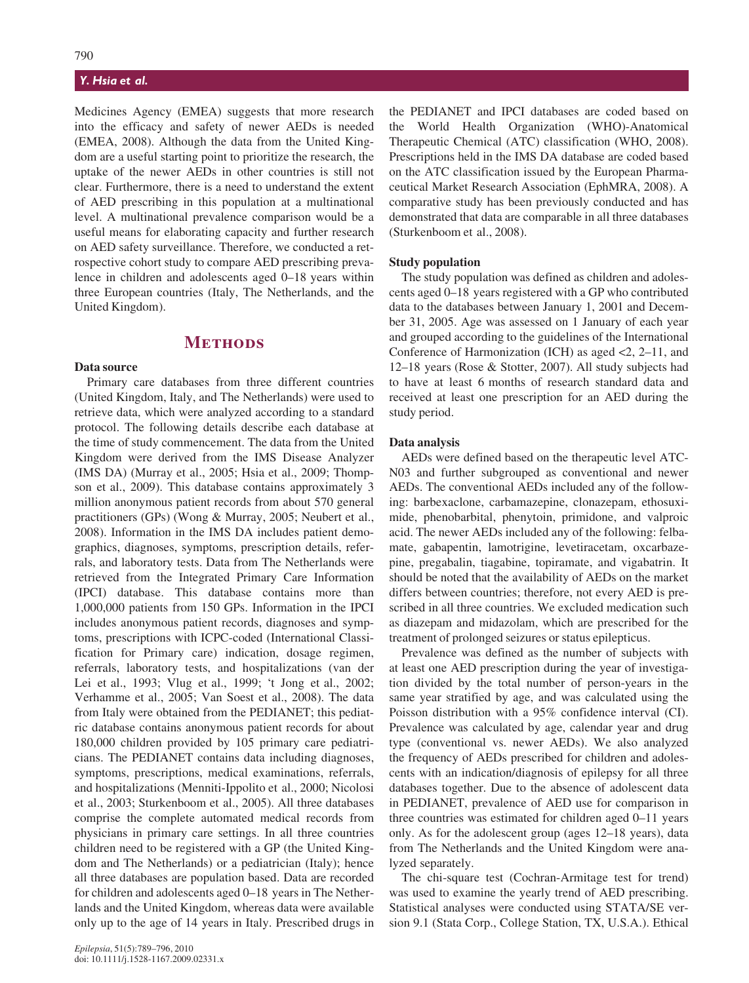Medicines Agency (EMEA) suggests that more research into the efficacy and safety of newer AEDs is needed (EMEA, 2008). Although the data from the United Kingdom are a useful starting point to prioritize the research, the uptake of the newer AEDs in other countries is still not clear. Furthermore, there is a need to understand the extent of AED prescribing in this population at a multinational level. A multinational prevalence comparison would be a useful means for elaborating capacity and further research on AED safety surveillance. Therefore, we conducted a retrospective cohort study to compare AED prescribing prevalence in children and adolescents aged 0–18 years within three European countries (Italy, The Netherlands, and the United Kingdom).

# **METHODS**

# Data source

Primary care databases from three different countries (United Kingdom, Italy, and The Netherlands) were used to retrieve data, which were analyzed according to a standard protocol. The following details describe each database at the time of study commencement. The data from the United Kingdom were derived from the IMS Disease Analyzer (IMS DA) (Murray et al., 2005; Hsia et al., 2009; Thompson et al., 2009). This database contains approximately 3 million anonymous patient records from about 570 general practitioners (GPs) (Wong & Murray, 2005; Neubert et al., 2008). Information in the IMS DA includes patient demographics, diagnoses, symptoms, prescription details, referrals, and laboratory tests. Data from The Netherlands were retrieved from the Integrated Primary Care Information (IPCI) database. This database contains more than 1,000,000 patients from 150 GPs. Information in the IPCI includes anonymous patient records, diagnoses and symptoms, prescriptions with ICPC-coded (International Classification for Primary care) indication, dosage regimen, referrals, laboratory tests, and hospitalizations (van der Lei et al., 1993; Vlug et al., 1999; 't Jong et al., 2002; Verhamme et al., 2005; Van Soest et al., 2008). The data from Italy were obtained from the PEDIANET; this pediatric database contains anonymous patient records for about 180,000 children provided by 105 primary care pediatricians. The PEDIANET contains data including diagnoses, symptoms, prescriptions, medical examinations, referrals, and hospitalizations (Menniti-Ippolito et al., 2000; Nicolosi et al., 2003; Sturkenboom et al., 2005). All three databases comprise the complete automated medical records from physicians in primary care settings. In all three countries children need to be registered with a GP (the United Kingdom and The Netherlands) or a pediatrician (Italy); hence all three databases are population based. Data are recorded for children and adolescents aged 0–18 years in The Netherlands and the United Kingdom, whereas data were available only up to the age of 14 years in Italy. Prescribed drugs in the PEDIANET and IPCI databases are coded based on the World Health Organization (WHO)-Anatomical Therapeutic Chemical (ATC) classification (WHO, 2008). Prescriptions held in the IMS DA database are coded based on the ATC classification issued by the European Pharmaceutical Market Research Association (EphMRA, 2008). A comparative study has been previously conducted and has demonstrated that data are comparable in all three databases (Sturkenboom et al., 2008).

## Study population

The study population was defined as children and adolescents aged 0–18 years registered with a GP who contributed data to the databases between January 1, 2001 and December 31, 2005. Age was assessed on 1 January of each year and grouped according to the guidelines of the International Conference of Harmonization (ICH) as aged <2, 2–11, and 12–18 years (Rose & Stotter, 2007). All study subjects had to have at least 6 months of research standard data and received at least one prescription for an AED during the study period.

#### Data analysis

AEDs were defined based on the therapeutic level ATC-N03 and further subgrouped as conventional and newer AEDs. The conventional AEDs included any of the following: barbexaclone, carbamazepine, clonazepam, ethosuximide, phenobarbital, phenytoin, primidone, and valproic acid. The newer AEDs included any of the following: felbamate, gabapentin, lamotrigine, levetiracetam, oxcarbazepine, pregabalin, tiagabine, topiramate, and vigabatrin. It should be noted that the availability of AEDs on the market differs between countries; therefore, not every AED is prescribed in all three countries. We excluded medication such as diazepam and midazolam, which are prescribed for the treatment of prolonged seizures or status epilepticus.

Prevalence was defined as the number of subjects with at least one AED prescription during the year of investigation divided by the total number of person-years in the same year stratified by age, and was calculated using the Poisson distribution with a 95% confidence interval (CI). Prevalence was calculated by age, calendar year and drug type (conventional vs. newer AEDs). We also analyzed the frequency of AEDs prescribed for children and adolescents with an indication/diagnosis of epilepsy for all three databases together. Due to the absence of adolescent data in PEDIANET, prevalence of AED use for comparison in three countries was estimated for children aged 0–11 years only. As for the adolescent group (ages 12–18 years), data from The Netherlands and the United Kingdom were analyzed separately.

The chi-square test (Cochran-Armitage test for trend) was used to examine the yearly trend of AED prescribing. Statistical analyses were conducted using STATA/SE version 9.1 (Stata Corp., College Station, TX, U.S.A.). Ethical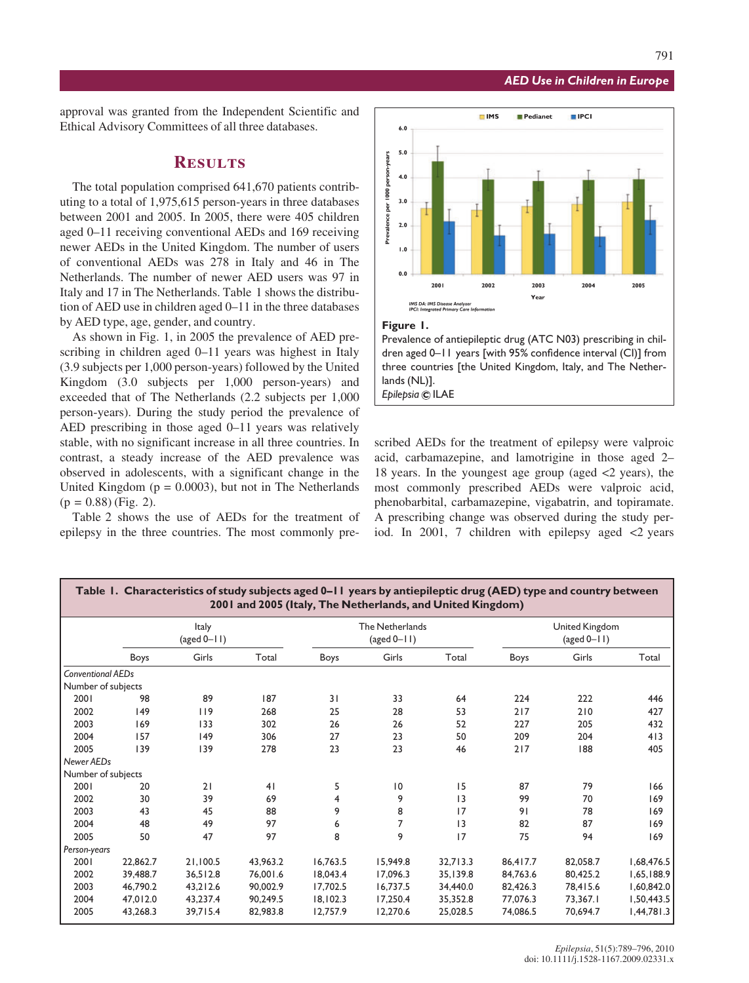#### AED Use in Children in Europe

approval was granted from the Independent Scientific and Ethical Advisory Committees of all three databases.

# **RESULTS**

The total population comprised 641,670 patients contributing to a total of 1,975,615 person-years in three databases between 2001 and 2005. In 2005, there were 405 children aged 0–11 receiving conventional AEDs and 169 receiving newer AEDs in the United Kingdom. The number of users of conventional AEDs was 278 in Italy and 46 in The Netherlands. The number of newer AED users was 97 in Italy and 17 in The Netherlands. Table 1 shows the distribution of AED use in children aged 0–11 in the three databases by AED type, age, gender, and country.

As shown in Fig. 1, in 2005 the prevalence of AED prescribing in children aged 0–11 years was highest in Italy (3.9 subjects per 1,000 person-years) followed by the United Kingdom (3.0 subjects per 1,000 person-years) and exceeded that of The Netherlands (2.2 subjects per 1,000 person-years). During the study period the prevalence of AED prescribing in those aged 0–11 years was relatively stable, with no significant increase in all three countries. In contrast, a steady increase of the AED prevalence was observed in adolescents, with a significant change in the United Kingdom ( $p = 0.0003$ ), but not in The Netherlands  $(p = 0.88)$  (Fig. 2).

Table 2 shows the use of AEDs for the treatment of epilepsy in the three countries. The most commonly pre-



scribed AEDs for the treatment of epilepsy were valproic acid, carbamazepine, and lamotrigine in those aged 2– 18 years. In the youngest age group (aged <2 years), the most commonly prescribed AEDs were valproic acid, phenobarbital, carbamazepine, vigabatrin, and topiramate. A prescribing change was observed during the study period. In 2001, 7 children with epilepsy aged <2 years

#### Table 1. Characteristics of study subjects aged 0–11 years by antiepileptic drug (AED) type and country between 2001 and 2005 (Italy, The Netherlands, and United Kingdom) Italy (aged 0–11) The Netherlands (aged 0–11) United Kingdom (aged 0–11) Boys Girls Total Boys Girls Total Boys Girls Total Conventional AEDs Number of subjects 2001 98 89 187 31 33 64 224 222 446 2002 149 119 268 25 28 53 217 210 427 2003 169 133 302 26 26 52 227 205 432 2004 157 149 306 27 23 50 209 204 413 2005 139 139 278 23 23 46 217 188 405 Newer AEDs Number of subjects 2001 20 21 41 5 10 15 87 79 166 2002 30 39 69 4 9 13 99 70 169 2003 43 45 88 9 8 17 91 78 169 2004 48 49 97 6 7 13 82 87 169 2005 50 47 97 8 9 17 75 94 169 Person-years 2001 22,862.7 21,100.5 43,963.2 16,763.5 15,949.8 32,713.3 86,417.7 82,058.7 1,68,476.5 2002 39,488.7 36,512.8 76,001.6 18,043.4 17,096.3 35,139.8 84,763.6 80,425.2 1,65,188.9 2003 46,790.2 43,212.6 90,002.9 17,702.5 16,737.5 34,440.0 82,426.3 78,415.6 1,60,842.0 2004 47,012.0 43,237.4 90,249.5 18,102.3 17,250.4 35,352.8 77,076.3 73,367.1 1,50,443.5 2005 43,268.3 39,715.4 82,983.8 12,757.9 12,270.6 25,028.5 74,086.5 70,694.7 1,44,781.3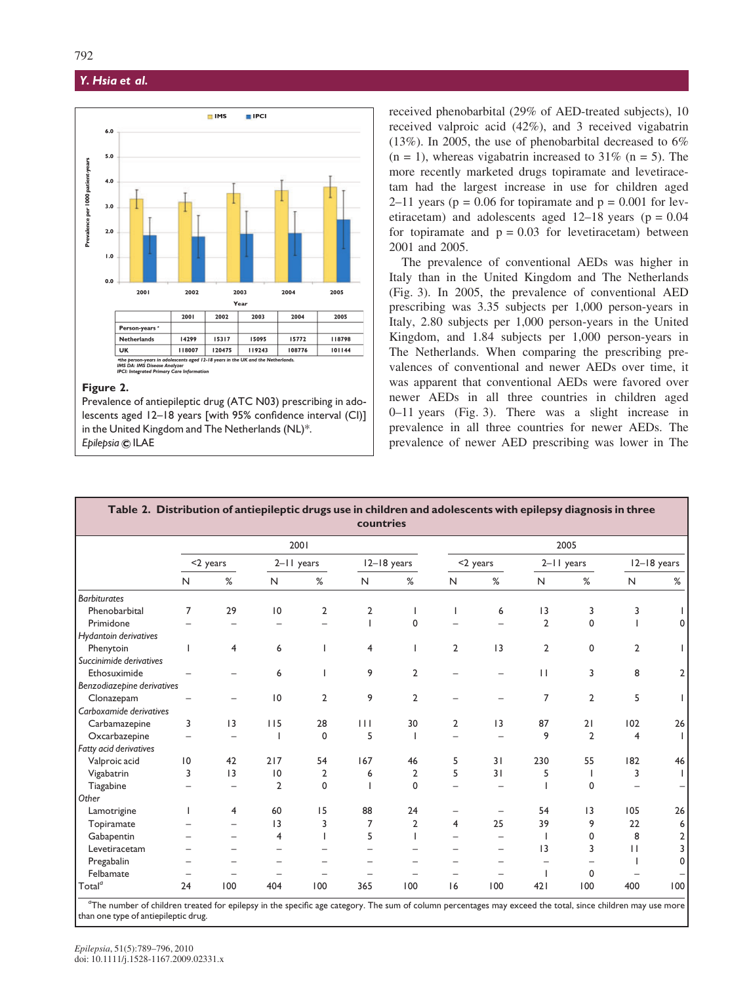

#### Figure 2.

Prevalence of antiepileptic drug (ATC N03) prescribing in adolescents aged 12–18 years [with 95% confidence interval (CI)] in the United Kingdom and The Netherlands (NL)\*. Epilepsia C ILAE

received phenobarbital (29% of AED-treated subjects), 10 received valproic acid (42%), and 3 received vigabatrin (13%). In 2005, the use of phenobarbital decreased to 6%  $(n = 1)$ , whereas vigabatrin increased to 31%  $(n = 5)$ . The more recently marketed drugs topiramate and levetiracetam had the largest increase in use for children aged 2–11 years ( $p = 0.06$  for topiramate and  $p = 0.001$  for levetiracetam) and adolescents aged  $12-18$  years ( $p = 0.04$ ) for topiramate and  $p = 0.03$  for levetiracetam) between 2001 and 2005.

The prevalence of conventional AEDs was higher in Italy than in the United Kingdom and The Netherlands (Fig. 3). In 2005, the prevalence of conventional AED prescribing was 3.35 subjects per 1,000 person-years in Italy, 2.80 subjects per 1,000 person-years in the United Kingdom, and 1.84 subjects per 1,000 person-years in The Netherlands. When comparing the prescribing prevalences of conventional and newer AEDs over time, it was apparent that conventional AEDs were favored over newer AEDs in all three countries in children aged 0–11 years (Fig. 3). There was a slight increase in prevalence in all three countries for newer AEDs. The prevalence of newer AED prescribing was lower in The

|                              | 2001     |     |                 |                |              |                | 2005           |     |                |                |                |     |
|------------------------------|----------|-----|-----------------|----------------|--------------|----------------|----------------|-----|----------------|----------------|----------------|-----|
|                              | <2 years |     | 2-II years      |                | 12-18 years  |                | <2 years       |     | 2-II years     |                | 12-18 years    |     |
|                              | N        | %   | $\mathsf{N}$    | %              | N            | %              | N              | %   | $\mathsf{N}$   | %              | $\mathsf{N}$   | %   |
| <b>Barbiturates</b>          |          |     |                 |                |              |                |                |     |                |                |                |     |
| Phenobarbital                | 7        | 29  | 10              | 2              | 2            |                |                | 6   | 3              | 3              | 3              |     |
| Primidone                    |          |     |                 |                |              | $\Omega$       |                |     | $\mathcal{P}$  | $\Omega$       |                |     |
| <b>Hydantoin derivatives</b> |          |     |                 |                |              |                |                |     |                |                |                |     |
| Phenytoin                    |          | 4   | 6               |                | 4            |                | $\overline{2}$ | 3   | $\overline{2}$ | $\Omega$       | $\overline{2}$ |     |
| Succinimide derivatives      |          |     |                 |                |              |                |                |     |                |                |                |     |
| Ethosuximide                 |          |     | 6               |                | 9            | $\overline{2}$ |                |     | $\mathbf{H}$   | 3              | 8              |     |
| Benzodiazepine derivatives   |          |     |                 |                |              |                |                |     |                |                |                |     |
| Clonazepam                   |          |     | $\overline{10}$ | $\overline{2}$ | 9            | $\overline{2}$ |                |     | 7              | $\overline{2}$ | 5              |     |
| Carboxamide derivatives      |          |     |                 |                |              |                |                |     |                |                |                |     |
| Carbamazepine                | 3        | 3   | 115             | 28             | $\mathbf{H}$ | 30             | $\overline{2}$ | 3   | 87             | 21             | 102            | 26  |
| Oxcarbazepine                |          |     |                 | $\mathbf 0$    | 5            |                |                |     | 9              | $\overline{2}$ | 4              |     |
| Fatty acid derivatives       |          |     |                 |                |              |                |                |     |                |                |                |     |
| Valproic acid                | 10       | 42  | 217             | 54             | 167          | 46             | 5              | 31  | 230            | 55             | 182            | 46  |
| Vigabatrin                   | 3        | 3   | 0               | 2              | 6            | $\overline{2}$ | 5              | 31  | 5              |                | 3              |     |
| Tiagabine                    |          |     | $\overline{2}$  | $\Omega$       |              | $\Omega$       |                |     |                | $\Omega$       |                |     |
| Other                        |          |     |                 |                |              |                |                |     |                |                |                |     |
| Lamotrigine                  |          | 4   | 60              | 15             | 88           | 24             |                |     | 54             | 3              | 105            | 26  |
| Topiramate                   |          |     | 3               | 3              | 7            | $\overline{2}$ | 4              | 25  | 39             | 9              | 22             |     |
| Gabapentin                   |          |     | 4               |                | 5            |                |                |     |                | 0              | 8              |     |
| Levetiracetam                |          |     |                 |                |              |                |                |     | 3              |                | П              |     |
| Pregabalin                   |          |     |                 |                |              |                |                |     |                |                |                |     |
| Felbamate                    |          |     |                 |                |              |                |                |     |                | 0              |                |     |
| Total <sup>a</sup>           | 24       | 100 | 404             | 100            | 365          | 100            | 16             | 100 | 421            | 100            | 400            | 100 |

The number of children treated for epilepsy in the specific age category. The sum of column percentages may exceed the total, since children may use more than one type of antiepileptic drug.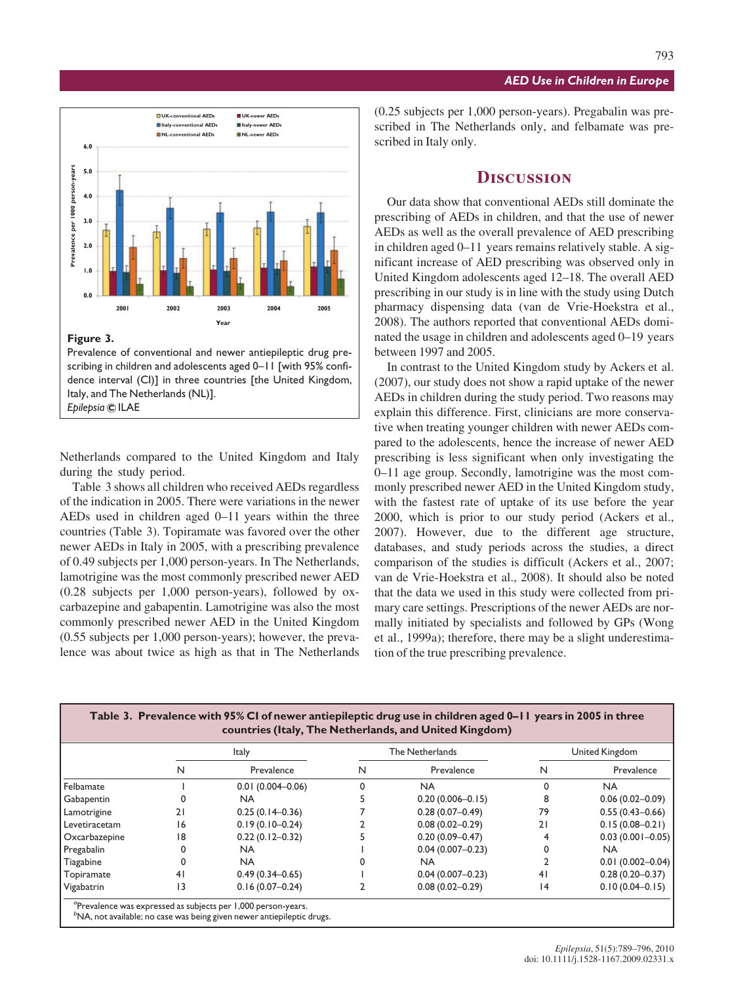

# Figure 3.

Prevalence of conventional and newer antiepileptic drug prescribing in children and adolescents aged 0–11 [with 95% confidence interval (CI)] in three countries [the United Kingdom, Italy, and The Netherlands (NL)]. Epilepsia CILAE

Netherlands compared to the United Kingdom and Italy during the study period.

Table 3 shows all children who received AEDs regardless of the indication in 2005. There were variations in the newer AEDs used in children aged 0–11 years within the three countries (Table 3). Topiramate was favored over the other newer AEDs in Italy in 2005, with a prescribing prevalence of 0.49 subjects per 1,000 person-years. In The Netherlands, lamotrigine was the most commonly prescribed newer AED (0.28 subjects per 1,000 person-years), followed by oxcarbazepine and gabapentin. Lamotrigine was also the most commonly prescribed newer AED in the United Kingdom (0.55 subjects per 1,000 person-years); however, the prevalence was about twice as high as that in The Netherlands

(0.25 subjects per 1,000 person-years). Pregabalin was prescribed in The Netherlands only, and felbamate was prescribed in Italy only.

# **DISCUSSION**

Our data show that conventional AEDs still dominate the prescribing of AEDs in children, and that the use of newer AEDs as well as the overall prevalence of AED prescribing in children aged 0–11 years remains relatively stable. A significant increase of AED prescribing was observed only in United Kingdom adolescents aged 12–18. The overall AED prescribing in our study is in line with the study using Dutch pharmacy dispensing data (van de Vrie-Hoekstra et al., 2008). The authors reported that conventional AEDs dominated the usage in children and adolescents aged 0–19 years between 1997 and 2005.

In contrast to the United Kingdom study by Ackers et al. (2007), our study does not show a rapid uptake of the newer AEDs in children during the study period. Two reasons may explain this difference. First, clinicians are more conservative when treating younger children with newer AEDs compared to the adolescents, hence the increase of newer AED prescribing is less significant when only investigating the 0–11 age group. Secondly, lamotrigine was the most commonly prescribed newer AED in the United Kingdom study, with the fastest rate of uptake of its use before the year 2000, which is prior to our study period (Ackers et al., 2007). However, due to the different age structure, databases, and study periods across the studies, a direct comparison of the studies is difficult (Ackers et al., 2007; van de Vrie-Hoekstra et al., 2008). It should also be noted that the data we used in this study were collected from primary care settings. Prescriptions of the newer AEDs are normally initiated by specialists and followed by GPs (Wong et al., 1999a); therefore, there may be a slight underestimation of the true prescribing prevalence.

|               | Italy |                      |   | The Netherlands      | United Kingdom |                      |  |
|---------------|-------|----------------------|---|----------------------|----------------|----------------------|--|
|               | N     | Prevalence           | N | Prevalence           | N              | Prevalence           |  |
| Felbamate     |       | $0.01(0.004 - 0.06)$ |   | <b>NA</b>            |                | <b>NA</b>            |  |
| Gabapentin    |       | <b>NA</b>            |   | $0.20(0.006 - 0.15)$ |                | $0.06(0.02 - 0.09)$  |  |
| Lamotrigine   | 21    | $0.25(0.14 - 0.36)$  |   | $0.28(0.07 - 0.49)$  | 79             | $0.55(0.43 - 0.66)$  |  |
| Levetiracetam | 16    | $0.19(0.10 - 0.24)$  |   | $0.08(0.02 - 0.29)$  | 21             | $0.15(0.08 - 0.21)$  |  |
| Oxcarbazepine | 18    | $0.22(0.12 - 0.32)$  |   | $0.20(0.09 - 0.47)$  |                | $0.03(0.001 - 0.05)$ |  |
| Pregabalin    |       | <b>NA</b>            |   | $0.04(0.007 - 0.23)$ |                | <b>NA</b>            |  |
| Tiagabine     |       | <b>NA</b>            |   | <b>NA</b>            |                | $0.01(0.002 - 0.04)$ |  |
| Topiramate    | 41    | $0.49(0.34 - 0.65)$  |   | $0.04(0.007 - 0.23)$ | 41             | $0.28(0.20 - 0.37)$  |  |
| Vigabatrin    | 3     | $0.16(0.07 - 0.24)$  |   | $0.08(0.02 - 0.29)$  | 14             | $0.10(0.04 - 0.15)$  |  |

Table 3. Prevalence with 95% CI of newer antiepileptic drug use in children aged 0–11 years in 2005 in three

Prevalence was expressed as subjects per 1,000 person-years.

 $b$ NA, not available; no case was being given newer antiepileptic drugs.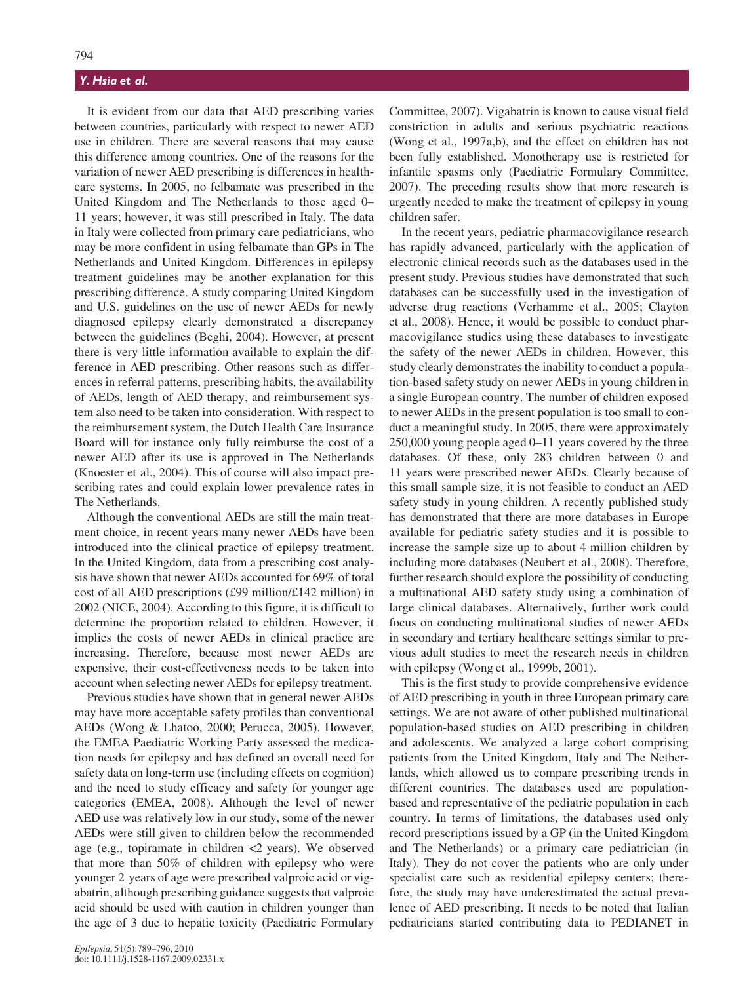It is evident from our data that AED prescribing varies between countries, particularly with respect to newer AED use in children. There are several reasons that may cause this difference among countries. One of the reasons for the variation of newer AED prescribing is differences in healthcare systems. In 2005, no felbamate was prescribed in the United Kingdom and The Netherlands to those aged 0– 11 years; however, it was still prescribed in Italy. The data in Italy were collected from primary care pediatricians, who may be more confident in using felbamate than GPs in The Netherlands and United Kingdom. Differences in epilepsy treatment guidelines may be another explanation for this prescribing difference. A study comparing United Kingdom and U.S. guidelines on the use of newer AEDs for newly diagnosed epilepsy clearly demonstrated a discrepancy between the guidelines (Beghi, 2004). However, at present there is very little information available to explain the difference in AED prescribing. Other reasons such as differences in referral patterns, prescribing habits, the availability of AEDs, length of AED therapy, and reimbursement system also need to be taken into consideration. With respect to the reimbursement system, the Dutch Health Care Insurance Board will for instance only fully reimburse the cost of a newer AED after its use is approved in The Netherlands (Knoester et al., 2004). This of course will also impact prescribing rates and could explain lower prevalence rates in The Netherlands.

Although the conventional AEDs are still the main treatment choice, in recent years many newer AEDs have been introduced into the clinical practice of epilepsy treatment. In the United Kingdom, data from a prescribing cost analysis have shown that newer AEDs accounted for 69% of total cost of all AED prescriptions (£99 million/£142 million) in 2002 (NICE, 2004). According to this figure, it is difficult to determine the proportion related to children. However, it implies the costs of newer AEDs in clinical practice are increasing. Therefore, because most newer AEDs are expensive, their cost-effectiveness needs to be taken into account when selecting newer AEDs for epilepsy treatment.

Previous studies have shown that in general newer AEDs may have more acceptable safety profiles than conventional AEDs (Wong & Lhatoo, 2000; Perucca, 2005). However, the EMEA Paediatric Working Party assessed the medication needs for epilepsy and has defined an overall need for safety data on long-term use (including effects on cognition) and the need to study efficacy and safety for younger age categories (EMEA, 2008). Although the level of newer AED use was relatively low in our study, some of the newer AEDs were still given to children below the recommended age (e.g., topiramate in children <2 years). We observed that more than 50% of children with epilepsy who were younger 2 years of age were prescribed valproic acid or vigabatrin, although prescribing guidance suggests that valproic acid should be used with caution in children younger than the age of 3 due to hepatic toxicity (Paediatric Formulary Committee, 2007). Vigabatrin is known to cause visual field constriction in adults and serious psychiatric reactions (Wong et al., 1997a,b), and the effect on children has not been fully established. Monotherapy use is restricted for infantile spasms only (Paediatric Formulary Committee, 2007). The preceding results show that more research is urgently needed to make the treatment of epilepsy in young children safer.

In the recent years, pediatric pharmacovigilance research has rapidly advanced, particularly with the application of electronic clinical records such as the databases used in the present study. Previous studies have demonstrated that such databases can be successfully used in the investigation of adverse drug reactions (Verhamme et al., 2005; Clayton et al., 2008). Hence, it would be possible to conduct pharmacovigilance studies using these databases to investigate the safety of the newer AEDs in children. However, this study clearly demonstrates the inability to conduct a population-based safety study on newer AEDs in young children in a single European country. The number of children exposed to newer AEDs in the present population is too small to conduct a meaningful study. In 2005, there were approximately 250,000 young people aged 0–11 years covered by the three databases. Of these, only 283 children between 0 and 11 years were prescribed newer AEDs. Clearly because of this small sample size, it is not feasible to conduct an AED safety study in young children. A recently published study has demonstrated that there are more databases in Europe available for pediatric safety studies and it is possible to increase the sample size up to about 4 million children by including more databases (Neubert et al., 2008). Therefore, further research should explore the possibility of conducting a multinational AED safety study using a combination of large clinical databases. Alternatively, further work could focus on conducting multinational studies of newer AEDs in secondary and tertiary healthcare settings similar to previous adult studies to meet the research needs in children with epilepsy (Wong et al., 1999b, 2001).

This is the first study to provide comprehensive evidence of AED prescribing in youth in three European primary care settings. We are not aware of other published multinational population-based studies on AED prescribing in children and adolescents. We analyzed a large cohort comprising patients from the United Kingdom, Italy and The Netherlands, which allowed us to compare prescribing trends in different countries. The databases used are populationbased and representative of the pediatric population in each country. In terms of limitations, the databases used only record prescriptions issued by a GP (in the United Kingdom and The Netherlands) or a primary care pediatrician (in Italy). They do not cover the patients who are only under specialist care such as residential epilepsy centers; therefore, the study may have underestimated the actual prevalence of AED prescribing. It needs to be noted that Italian pediatricians started contributing data to PEDIANET in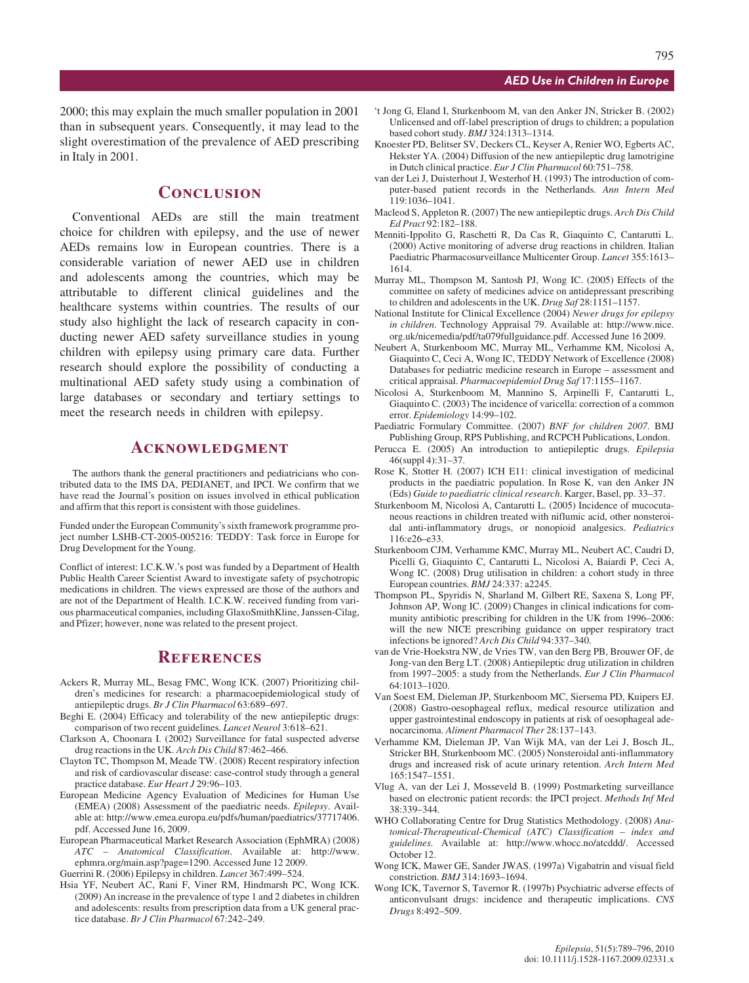#### AED Use in Children in Europe

2000; this may explain the much smaller population in 2001 than in subsequent years. Consequently, it may lead to the slight overestimation of the prevalence of AED prescribing in Italy in 2001.

# **CONCLUSION**

Conventional AEDs are still the main treatment choice for children with epilepsy, and the use of newer AEDs remains low in European countries. There is a considerable variation of newer AED use in children and adolescents among the countries, which may be attributable to different clinical guidelines and the healthcare systems within countries. The results of our study also highlight the lack of research capacity in conducting newer AED safety surveillance studies in young children with epilepsy using primary care data. Further research should explore the possibility of conducting a multinational AED safety study using a combination of large databases or secondary and tertiary settings to meet the research needs in children with epilepsy.

# Acknowledgment

The authors thank the general practitioners and pediatricians who contributed data to the IMS DA, PEDIANET, and IPCI. We confirm that we have read the Journal's position on issues involved in ethical publication and affirm that this report is consistent with those guidelines.

Funded under the European Community's sixth framework programme project number LSHB-CT-2005-005216: TEDDY: Task force in Europe for Drug Development for the Young.

Conflict of interest: I.C.K.W.'s post was funded by a Department of Health Public Health Career Scientist Award to investigate safety of psychotropic medications in children. The views expressed are those of the authors and are not of the Department of Health. I.C.K.W. received funding from various pharmaceutical companies, including GlaxoSmithKline, Janssen-Cilag, and Pfizer; however, none was related to the present project.

# **REFERENCES**

- Ackers R, Murray ML, Besag FMC, Wong ICK. (2007) Prioritizing children's medicines for research: a pharmacoepidemiological study of antiepileptic drugs. Br J Clin Pharmacol 63:689–697.
- Beghi E. (2004) Efficacy and tolerability of the new antiepileptic drugs: comparison of two recent guidelines. Lancet Neurol 3:618–621.
- Clarkson A, Choonara I. (2002) Surveillance for fatal suspected adverse drug reactions in the UK. Arch Dis Child 87:462–466.
- Clayton TC, Thompson M, Meade TW. (2008) Recent respiratory infection and risk of cardiovascular disease: case-control study through a general practice database. Eur Heart J 29:96–103.
- European Medicine Agency Evaluation of Medicines for Human Use (EMEA) (2008) Assessment of the paediatric needs. Epilepsy. Available at: http://www.emea.europa.eu/pdfs/human/paediatrics/37717406. pdf. Accessed June 16, 2009.
- European Pharmaceutical Market Research Association (EphMRA) (2008) ATC – Anatomical Classification. Available at: http://www. ephmra.org/main.asp?page=1290. Accessed June 12 2009.
- Guerrini R. (2006) Epilepsy in children. Lancet 367:499–524.
- Hsia YF, Neubert AC, Rani F, Viner RM, Hindmarsh PC, Wong ICK. (2009) An increase in the prevalence of type 1 and 2 diabetes in children and adolescents: results from prescription data from a UK general practice database. Br J Clin Pharmacol 67:242–249.
- 't Jong G, Eland I, Sturkenboom M, van den Anker JN, Stricker B. (2002) Unlicensed and off-label prescription of drugs to children; a population based cohort study. BMJ 324:1313–1314.
- Knoester PD, Belitser SV, Deckers CL, Keyser A, Renier WO, Egberts AC, Hekster YA. (2004) Diffusion of the new antiepileptic drug lamotrigine in Dutch clinical practice. Eur J Clin Pharmacol 60:751–758.
- van der Lei J, Duisterhout J, Westerhof H. (1993) The introduction of computer-based patient records in the Netherlands. Ann Intern Med 119:1036–1041.
- Macleod S, Appleton R. (2007) The new antiepileptic drugs. Arch Dis Child Ed Pract 92:182–188.
- Menniti-Ippolito G, Raschetti R, Da Cas R, Giaquinto C, Cantarutti L. (2000) Active monitoring of adverse drug reactions in children. Italian Paediatric Pharmacosurveillance Multicenter Group. Lancet 355:1613– 1614.
- Murray ML, Thompson M, Santosh PJ, Wong IC. (2005) Effects of the committee on safety of medicines advice on antidepressant prescribing to children and adolescents in the UK. Drug Saf 28:1151-1157.
- National Institute for Clinical Excellence (2004) Newer drugs for epilepsy in children. Technology Appraisal 79. Available at: http://www.nice. org.uk/nicemedia/pdf/ta079fullguidance.pdf. Accessed June 16 2009.
- Neubert A, Sturkenboom MC, Murray ML, Verhamme KM, Nicolosi A, Giaquinto C, Ceci A, Wong IC, TEDDY Network of Excellence (2008) Databases for pediatric medicine research in Europe – assessment and critical appraisal. Pharmacoepidemiol Drug Saf 17:1155–1167.
- Nicolosi A, Sturkenboom M, Mannino S, Arpinelli F, Cantarutti L, Giaquinto C. (2003) The incidence of varicella: correction of a common error. Epidemiology 14:99–102.
- Paediatric Formulary Committee. (2007) BNF for children 2007. BMJ Publishing Group, RPS Publishing, and RCPCH Publications, London.
- Perucca E. (2005) An introduction to antiepileptic drugs. Epilepsia 46(suppl 4):31–37.
- Rose K, Stotter H. (2007) ICH E11: clinical investigation of medicinal products in the paediatric population. In Rose K, van den Anker JN (Eds) Guide to paediatric clinical research. Karger, Basel, pp. 33–37.
- Sturkenboom M, Nicolosi A, Cantarutti L. (2005) Incidence of mucocutaneous reactions in children treated with niflumic acid, other nonsteroidal anti-inflammatory drugs, or nonopioid analgesics. Pediatrics 116:e26–e33.
- Sturkenboom CJM, Verhamme KMC, Murray ML, Neubert AC, Caudri D, Picelli G, Giaquinto C, Cantarutti L, Nicolosi A, Baiardi P, Ceci A, Wong IC. (2008) Drug utilisation in children: a cohort study in three European countries. BMJ 24:337: a2245.
- Thompson PL, Spyridis N, Sharland M, Gilbert RE, Saxena S, Long PF, Johnson AP, Wong IC. (2009) Changes in clinical indications for community antibiotic prescribing for children in the UK from 1996–2006: will the new NICE prescribing guidance on upper respiratory tract infections be ignored? Arch Dis Child 94:337–340.
- van de Vrie-Hoekstra NW, de Vries TW, van den Berg PB, Brouwer OF, de Jong-van den Berg LT. (2008) Antiepileptic drug utilization in children from 1997–2005: a study from the Netherlands. Eur J Clin Pharmacol 64:1013–1020.
- Van Soest EM, Dieleman JP, Sturkenboom MC, Siersema PD, Kuipers EJ. (2008) Gastro-oesophageal reflux, medical resource utilization and upper gastrointestinal endoscopy in patients at risk of oesophageal adenocarcinoma. Aliment Pharmacol Ther 28:137–143.
- Verhamme KM, Dieleman JP, Van Wijk MA, van der Lei J, Bosch JL, Stricker BH, Sturkenboom MC. (2005) Nonsteroidal anti-inflammatory drugs and increased risk of acute urinary retention. Arch Intern Med 165:1547–1551.
- Vlug A, van der Lei J, Mosseveld B. (1999) Postmarketing surveillance based on electronic patient records: the IPCI project. Methods Inf Med 38:339–344.
- WHO Collaborating Centre for Drug Statistics Methodology. (2008) Anatomical-Therapeutical-Chemical (ATC) Classification – index and guidelines. Available at: http://www.whocc.no/atcddd/. Accessed October 12.
- Wong ICK, Mawer GE, Sander JWAS. (1997a) Vigabatrin and visual field constriction. BMJ 314:1693–1694.
- Wong ICK, Tavernor S, Tavernor R. (1997b) Psychiatric adverse effects of anticonvulsant drugs: incidence and therapeutic implications. CNS Drugs 8:492–509.